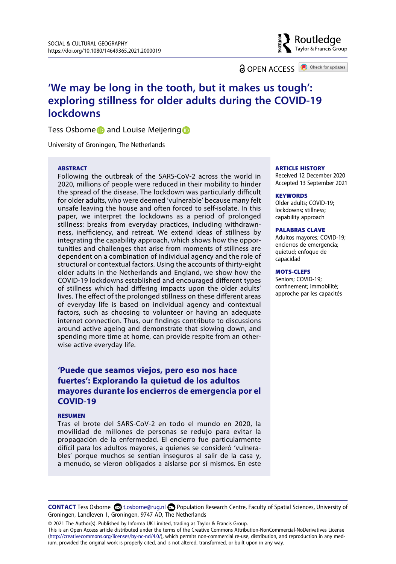**a** OPEN ACCESS **a** Check for updates

Routledae Taylor & Francis Group

# **'We may be long in the tooth, but it makes us tough': exploring stillness for older adults during the COVID-19 lockdowns**

T[e](http://orcid.org/0000-0003-3323-8237)ss Osborne **D** and Louise Meijering D

University of Groningen, The Netherlands

#### **ARSTRACT**

Following the outbreak of the SARS-CoV-2 across the world in 2020, millions of people were reduced in their mobility to hinder the spread of the disease. The lockdown was particularly difficult for older adults, who were deemed 'vulnerable' because many felt unsafe leaving the house and often forced to self-isolate. In this paper, we interpret the lockdowns as a period of prolonged stillness: breaks from everyday practices, including withdrawnness, inefficiency, and retreat. We extend ideas of stillness by integrating the capability approach, which shows how the opportunities and challenges that arise from moments of stillness are dependent on a combination of individual agency and the role of structural or contextual factors. Using the accounts of thirty-eight older adults in the Netherlands and England, we show how the COVID-19 lockdowns established and encouraged different types of stillness which had differing impacts upon the older adults' lives. The effect of the prolonged stillness on these different areas of everyday life is based on individual agency and contextual factors, such as choosing to volunteer or having an adequate internet connection. Thus, our findings contribute to discussions around active ageing and demonstrate that slowing down, and spending more time at home, can provide respite from an otherwise active everyday life.

# **'Puede que seamos viejos, pero eso nos hace fuertes': Explorando la quietud de los adultos mayores durante los encierros de emergencia por el COVID-19**

#### RESUMEN

Tras el brote del SARS-CoV-2 en todo el mundo en 2020, la movilidad de millones de personas se redujo para evitar la propagación de la enfermedad. El encierro fue particularmente difícil para los adultos mayores, a quienes se consideró 'vulnerables' porque muchos se sentían inseguros al salir de la casa y, a menudo, se vieron obligados a aislarse por sí mismos. En este

#### **ARTICLE HISTORY**

Received 12 December 2020 Accepted 13 September 2021

#### **KEYWORDS**

Older adults; COVID-19; lockdowns; stillness; capability approach

#### PALABRAS CLAVE

Adultos mayores; COVID-19; encierros de emergencia; quietud; enfoque de capacidad

#### MOTS-CLEFS

Seniors; COVID-19; confinement; immobilité; approche par les capacités

© 2021 The Author(s). Published by Informa UK Limited, trading as Taylor & Francis Group.

This is an Open Access article distributed under the terms of the Creative Commons Attribution-NonCommercial-NoDerivatives License (http://creativecommons.org/licenses/by-nc-nd/4.0/), which permits non-commercial re-use, distribution, and reproduction in any medium, provided the original work is properly cited, and is not altered, transformed, or built upon in any way.

**CONTACT** Tess Osborne **2** t.osborne@rug.nl **□** Population Research Centre, Faculty of Spatial Sciences, University of Groningen, Landleven 1, Groningen, 9747 AD, The Netherlands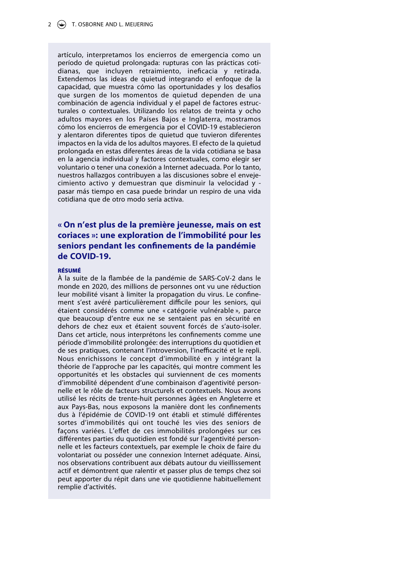#### 2  $\left(\frac{1}{2}\right)$  T. OSBORNE AND L. MEIJERING

artículo, interpretamos los encierros de emergencia como un período de quietud prolongada: rupturas con las prácticas cotidianas, que incluyen retraimiento, ineficacia y retirada. Extendemos las ideas de quietud integrando el enfoque de la capacidad, que muestra cómo las oportunidades y los desafíos que surgen de los momentos de quietud dependen de una combinación de agencia individual y el papel de factores estructurales o contextuales. Utilizando los relatos de treinta y ocho adultos mayores en los Países Bajos e Inglaterra, mostramos cómo los encierros de emergencia por el COVID-19 establecieron y alentaron diferentes tipos de quietud que tuvieron diferentes impactos en la vida de los adultos mayores. El efecto de la quietud prolongada en estas diferentes áreas de la vida cotidiana se basa en la agencia individual y factores contextuales, como elegir ser voluntario o tener una conexión a Internet adecuada. Por lo tanto, nuestros hallazgos contribuyen a las discusiones sobre el envejecimiento activo y demuestran que disminuir la velocidad y pasar más tiempo en casa puede brindar un respiro de una vida cotidiana que de otro modo sería activa.

# **« On n'est plus de la première jeunesse, mais on est coriaces »: une exploration de l'immobilité pour les seniors pendant les con!nements de la pandémie de COVID-19.**

#### RÉSUMÉ

À la suite de la flambée de la pandémie de SARS-CoV-2 dans le monde en 2020, des millions de personnes ont vu une réduction leur mobilité visant à limiter la propagation du virus. Le confinement s'est avéré particulièrement difficile pour les seniors, qui étaient considérés comme une « catégorie vulnérable », parce que beaucoup d'entre eux ne se sentaient pas en sécurité en dehors de chez eux et étaient souvent forcés de s'auto-isoler. Dans cet article, nous interprétons les confinements comme une période d'immobilité prolongée: des interruptions du quotidien et de ses pratiques, contenant l'introversion, l'inefficacité et le repli. Nous enrichissons le concept d'immobilité en y intégrant la théorie de l'approche par les capacités, qui montre comment les opportunités et les obstacles qui surviennent de ces moments d'immobilité dépendent d'une combinaison d'agentivité personnelle et le rôle de facteurs structurels et contextuels. Nous avons utilisé les récits de trente-huit personnes âgées en Angleterre et aux Pays-Bas, nous exposons la manière dont les confinements dus à l'épidémie de COVID-19 ont établi et stimulé différentes sortes d'immobilités qui ont touché les vies des seniors de façons variées. L'effet de ces immobilités prolongées sur ces différentes parties du quotidien est fondé sur l'agentivité personnelle et les facteurs contextuels, par exemple le choix de faire du volontariat ou posséder une connexion Internet adéquate. Ainsi, nos observations contribuent aux débats autour du vieillissement actif et démontrent que ralentir et passer plus de temps chez soi peut apporter du répit dans une vie quotidienne habituellement remplie d'activités.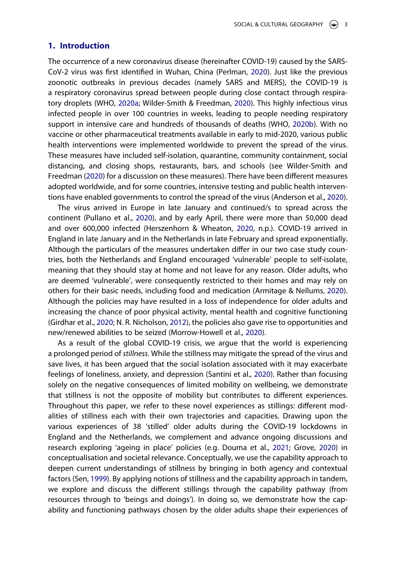# **1. Introduction**

<span id="page-2-11"></span><span id="page-2-10"></span><span id="page-2-6"></span>The occurrence of a new coronavirus disease (hereinafter COVID-19) caused by the SARS-CoV-2 virus was first identified in Wuhan, China (Perlman, [2020](#page-18-0)). Just like the previous zoonotic outbreaks in previous decades (namely SARS and MERS), the COVID-19 is a respiratory coronavirus spread between people during close contact through respiratory droplets (WHO, [2020a;](#page-19-0) Wilder-Smith & Freedman, [2020\)](#page-19-1). This highly infectious virus infected people in over 100 countries in weeks, leading to people needing respiratory support in intensive care and hundreds of thousands of deaths (WHO, [2020b\)](#page-19-2). With no vaccine or other pharmaceutical treatments available in early to mid-2020, various public health interventions were implemented worldwide to prevent the spread of the virus. These measures have included self-isolation, quarantine, community containment, social distancing, and closing shops, restaurants, bars, and schools (see Wilder-Smith and Freedman [\(2020\)](#page-19-1) for a discussion on these measures). There have been different measures adopted worldwide, and for some countries, intensive testing and public health interventions have enabled governments to control the spread of the virus (Anderson et al., [2020](#page-16-0)).

<span id="page-2-12"></span><span id="page-2-7"></span><span id="page-2-4"></span><span id="page-2-0"></span>The virus arrived in Europe in late January and continued/s to spread across the continent (Pullano et al., [2020\)](#page-18-1), and by early April, there were more than 50,000 dead and over 600,000 infected (Herszenhorn & Wheaton, [2020,](#page-17-0) n.p.). COVID-19 arrived in England in late January and in the Netherlands in late February and spread exponentially. Although the particulars of the measures undertaken differ in our two case study countries, both the Netherlands and England encouraged 'vulnerable' people to self-isolate, meaning that they should stay at home and not leave for any reason. Older adults, who are deemed 'vulnerable', were consequently restricted to their homes and may rely on others for their basic needs, including food and medication (Armitage & Nellums, [2020](#page-16-1)). Although the policies may have resulted in a loss of independence for older adults and increasing the chance of poor physical activity, mental health and cognitive functioning (Girdhar et al., [2020;](#page-17-1) N. R. Nicholson, [2012](#page-18-2)), the policies also gave rise to opportunities and new/renewed abilities to be seized (Morrow-Howell et al., [2020\)](#page-17-2).

<span id="page-2-9"></span><span id="page-2-8"></span><span id="page-2-5"></span><span id="page-2-3"></span><span id="page-2-2"></span><span id="page-2-1"></span>As a result of the global COVID-19 crisis, we argue that the world is experiencing a prolonged period of *stillness*. While the stillness may mitigate the spread of the virus and save lives, it has been argued that the social isolation associated with it may exacerbate feelings of loneliness, anxiety, and depression (Santini et al., [2020](#page-18-3)). Rather than focusing solely on the negative consequences of limited mobility on wellbeing, we demonstrate that stillness is not the opposite of mobility but contributes to different experiences. Throughout this paper, we refer to these novel experiences as stillings: different modalities of stillness each with their own trajectories and capacities. Drawing upon the various experiences of 38 'stilled' older adults during the COVID-19 lockdowns in England and the Netherlands, we complement and advance ongoing discussions and research exploring 'ageing in place' policies (e.g. Douma et al., [2021](#page-17-3); Grove, [2020](#page-17-4)) in conceptualisation and societal relevance. Conceptually, we use the capability approach to deepen current understandings of stillness by bringing in both agency and contextual factors (Sen, [1999](#page-18-4)). By applying notions of stillness and the capability approach in tandem, we explore and discuss the different stillings through the capability pathway (from resources through to 'beings and doings'). In doing so, we demonstrate how the capability and functioning pathways chosen by the older adults shape their experiences of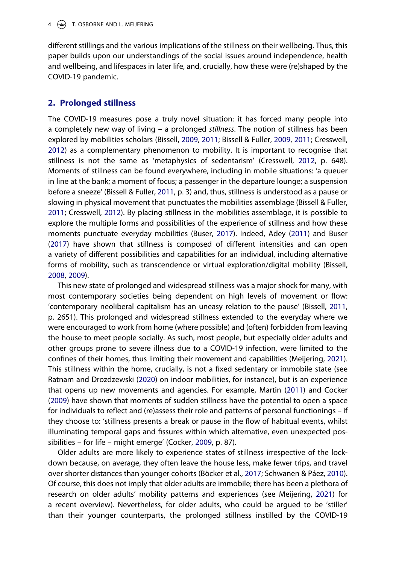different stillings and the various implications of the stillness on their wellbeing. Thus, this paper builds upon our understandings of the social issues around independence, health and wellbeing, and lifespaces in later life, and, crucially, how these were (re)shaped by the COVID-19 pandemic.

# **2. Prolonged stillness**

<span id="page-3-9"></span><span id="page-3-2"></span><span id="page-3-1"></span>The COVID-19 measures pose a truly novel situation: it has forced many people into a completely new way of living – a prolonged *stillness*. The notion of stillness has been explored by mobilities scholars (Bissell, [2009,](#page-16-2) [2011;](#page-16-3) Bissell & Fuller, [2009](#page-16-4), [2011](#page-16-5); Cresswell, [2012\)](#page-17-5) as a complementary phenomenon to mobility. It is important to recognise that stillness is not the same as 'metaphysics of sedentarism' (Cresswell, [2012](#page-17-5), p. 648). Moments of stillness can be found everywhere, including in mobile situations: 'a queuer in line at the bank; a moment of focus; a passenger in the departure lounge; a suspension before a sneeze' (Bissell & Fuller, [2011,](#page-16-5) p. 3) and, thus, stillness is understood as a pause or slowing in physical movement that punctuates the mobilities assemblage (Bissell & Fuller, [2011;](#page-16-5) Cresswell, [2012](#page-18-2)). By placing stillness in the mobilities assemblage, it is possible to explore the multiple forms and possibilities of the experience of stillness and how these moments punctuate everyday mobilities (Buser, [2017\)](#page-17-6). Indeed, Adey ([2011](#page-16-6)) and Buser ([2017](#page-17-6)) have shown that stillness is composed of different intensities and can open a variety of different possibilities and capabilities for an individual, including alternative forms of mobility, such as transcendence or virtual exploration/digital mobility (Bissell, [2008,](#page-16-7) [2009\)](#page-16-2).

<span id="page-3-7"></span><span id="page-3-5"></span><span id="page-3-4"></span><span id="page-3-3"></span><span id="page-3-0"></span>This new state of prolonged and widespread stillness was a major shock for many, with most contemporary societies being dependent on high levels of movement or flow: 'contemporary neoliberal capitalism has an uneasy relation to the pause' (Bissell, [2011](#page-16-3), p. 2651). This prolonged and widespread stillness extended to the everyday where we were encouraged to work from home (where possible) and (often) forbidden from leaving the house to meet people socially. As such, most people, but especially older adults and other groups prone to severe illness due to a COVID-19 infection, were limited to the confines of their homes, thus limiting their movement and capabilities (Meijering, [2021](#page-17-7)). This stillness within the home, crucially, is not a fixed sedentary or immobile state (see Ratnam and Drozdzewski ([2020](#page-18-5)) on indoor mobilities, for instance), but is an experience that opens up new movements and agencies. For example, Martin [\(2011\)](#page-17-8) and Cocker ([2009](#page-17-9)) have shown that moments of sudden stillness have the potential to open a space for individuals to reflect and (re)assess their role and patterns of personal functionings – if they choose to: 'stillness presents a break or pause in the flow of habitual events, whilst illuminating temporal gaps and fissures within which alternative, even unexpected possibilities – for life – might emerge' (Cocker, [2009,](#page-17-9) p. 87).

<span id="page-3-12"></span><span id="page-3-11"></span><span id="page-3-10"></span><span id="page-3-8"></span><span id="page-3-6"></span>Older adults are more likely to experience states of stillness irrespective of the lockdown because, on average, they often leave the house less, make fewer trips, and travel over shorter distances than younger cohorts (Böcker et al., [2017;](#page-16-8) Schwanen & Páez, [2010](#page-18-6)). Of course, this does not imply that older adults are immobile; there has been a plethora of research on older adults' mobility patterns and experiences (see Meijering, [2021](#page-17-7)) for a recent overview). Nevertheless, for older adults, who could be argued to be 'stiller' than their younger counterparts, the prolonged stillness instilled by the COVID-19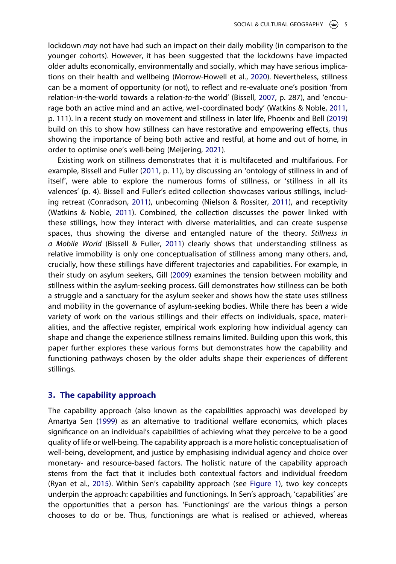<span id="page-4-0"></span>lockdown *may* not have had such an impact on their daily mobility (in comparison to the younger cohorts). However, it has been suggested that the lockdowns have impacted older adults economically, environmentally and socially, which may have serious implications on their health and wellbeing (Morrow-Howell et al., [2020\)](#page-17-2). Nevertheless, stillness can be a moment of opportunity (or not), to reflect and re-evaluate one's position 'from relation-*in*-the-world towards a relation-*to*-the world' (Bissell, [2007,](#page-16-9) p. 287), and 'encourage both an active mind and an active, well-coordinated body' (Watkins & Noble, [2011](#page-19-3), p. 111). In a recent study on movement and stillness in later life, Phoenix and Bell ([2019](#page-18-7)) build on this to show how stillness can have restorative and empowering effects, thus showing the importance of being both active and restful, at home and out of home, in order to optimise one's well-being (Meijering, [2021](#page-17-7)).

<span id="page-4-5"></span><span id="page-4-3"></span><span id="page-4-2"></span><span id="page-4-1"></span>Existing work on stillness demonstrates that it is multifaceted and multifarious. For example, Bissell and Fuller ([2011](#page-16-5), p. 11), by discussing an 'ontology of stillness in and of itself', were able to explore the numerous forms of stillness, or 'stillness in all its valences' (p. 4). Bissell and Fuller's edited collection showcases various stillings, including retreat (Conradson, [2011](#page-17-10)), unbecoming (Nielson & Rossiter, [2011\)](#page-18-8), and receptivity (Watkins & Noble, [2011\)](#page-19-3). Combined, the collection discusses the power linked with these stillings, how they interact with diverse materialities, and can create suspense spaces, thus showing the diverse and entangled nature of the theory. *Stillness in a Mobile World* (Bissell & Fuller, [2011\)](#page-16-5) clearly shows that understanding stillness as relative immobility is only one conceptualisation of stillness among many others, and, crucially, how these stillings have different trajectories and capabilities. For example, in their study on asylum seekers, Gill ([2009\)](#page-17-11) examines the tension between mobility and stillness within the asylum-seeking process. Gill demonstrates how stillness can be both a struggle and a sanctuary for the asylum seeker and shows how the state uses stillness and mobility in the governance of asylum-seeking bodies. While there has been a wide variety of work on the various stillings and their effects on individuals, space, materialities, and the affective register, empirical work exploring how individual agency can shape and change the experience stillness remains limited. Building upon this work, this paper further explores these various forms but demonstrates how the capability and functioning pathways chosen by the older adults shape their experiences of different stillings.

## **3. The capability approach**

<span id="page-4-4"></span>The capability approach (also known as the capabilities approach) was developed by Amartya Sen ([1999](#page-18-4)) as an alternative to traditional welfare economics, which places significance on an individual's capabilities of achieving what they perceive to be a good quality of life or well-being. The capability approach is a more holistic conceptualisation of well-being, development, and justice by emphasising individual agency and choice over monetary- and resource-based factors. The holistic nature of the capability approach stems from the fact that it includes both contextual factors and individual freedom (Ryan et al., [2015\)](#page-18-9). Within Sen's capability approach (see [Figure 1](#page-5-0)), two key concepts underpin the approach: capabilities and functionings. In Sen's approach, 'capabilities' are the opportunities that a person has. 'Functionings' are the various things a person chooses to do or be. Thus, functionings are what is realised or achieved, whereas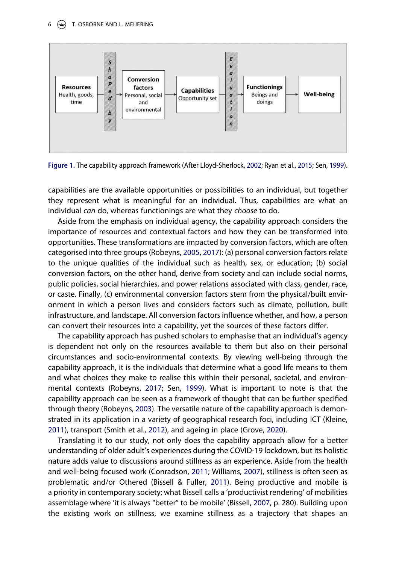<span id="page-5-0"></span>

<span id="page-5-2"></span>**Figure 1.** The capability approach framework (After Lloyd-Sherlock, [2002;](#page-17-13) Ryan et al., [2015](#page-18-9); Sen, [1999\)](#page-18-4).

capabilities are the available opportunities or possibilities to an individual, but together they represent what is meaningful for an individual. Thus, capabilities are what an individual *can* do, whereas functionings are what they *choose* to do.

<span id="page-5-4"></span>Aside from the emphasis on individual agency, the capability approach considers the importance of resources and contextual factors and how they can be transformed into opportunities. These transformations are impacted by conversion factors, which are often categorised into three groups (Robeyns, [2005,](#page-18-10) [2017](#page-18-11)): (a) personal conversion factors relate to the unique qualities of the individual such as health, sex, or education; (b) social conversion factors, on the other hand, derive from society and can include social norms, public policies, social hierarchies, and power relations associated with class, gender, race, or caste. Finally, (c) environmental conversion factors stem from the physical/built environment in which a person lives and considers factors such as climate, pollution, built infrastructure, and landscape. All conversion factors influence whether, and how, a person can convert their resources into a capability, yet the sources of these factors differ.

<span id="page-5-5"></span>The capability approach has pushed scholars to emphasise that an individual's agency is dependent not only on the resources available to them but also on their personal circumstances and socio-environmental contexts. By viewing well-being through the capability approach, it is the individuals that determine what a good life means to them and what choices they make to realise this within their personal, societal, and environmental contexts (Robeyns, [2017;](#page-18-11) Sen, [1999\)](#page-18-4). What is important to note is that the capability approach can be seen as a framework of thought that can be further specified through theory (Robeyns, [2003](#page-18-12)). The versatile nature of the capability approach is demonstrated in its application in a variety of geographical research foci, including ICT (Kleine, [2011\)](#page-17-12), transport (Smith et al., [2012\)](#page-18-13), and ageing in place (Grove, [2020\)](#page-17-4).

<span id="page-5-7"></span><span id="page-5-6"></span><span id="page-5-3"></span><span id="page-5-1"></span>Translating it to our study, not only does the capability approach allow for a better understanding of older adult's experiences during the COVID-19 lockdown, but its holistic nature adds value to discussions around stillness as an experience. Aside from the health and well-being focused work (Conradson, [2011](#page-17-10); Williams, [2007\)](#page-19-4), stillness is often seen as problematic and/or Othered (Bissell & Fuller, [2011](#page-16-5)). Being productive and mobile is a priority in contemporary society; what Bissell calls a 'productivist rendering' of mobilities assemblage where 'it is always "better" to be mobile' (Bissell, [2007](#page-16-9), p. 280). Building upon the existing work on stillness, we examine stillness as a trajectory that shapes an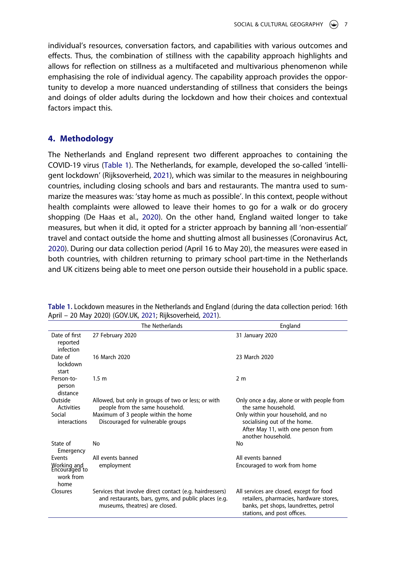individual's resources, conversation factors, and capabilities with various outcomes and effects. Thus, the combination of stillness with the capability approach highlights and allows for reflection on stillness as a multifaceted and multivarious phenomenon while emphasising the role of individual agency. The capability approach provides the opportunity to develop a more nuanced understanding of stillness that considers the beings and doings of older adults during the lockdown and how their choices and contextual factors impact this.

# **4. Methodology**

<span id="page-6-2"></span>The Netherlands and England represent two different approaches to containing the COVID-19 virus ([Table 1\)](#page-6-0). The Netherlands, for example, developed the so-called 'intelligent lockdown' (Rijksoverheid, [2021](#page-18-14)), which was similar to the measures in neighbouring countries, including closing schools and bars and restaurants. The mantra used to summarize the measures was: 'stay home as much as possible'. In this context, people without health complaints were allowed to leave their homes to go for a walk or do grocery shopping (De Haas et al., [2020\)](#page-17-14). On the other hand, England waited longer to take measures, but when it did, it opted for a stricter approach by banning all 'non-essential' travel and contact outside the home and shutting almost all businesses (Coronavirus Act, [2020\)](#page-17-15). During our data collection period (April 16 to May 20), the measures were eased in both countries, with children returning to primary school part-time in the Netherlands and UK citizens being able to meet one person outside their household in a public space.

|                                                   | The Netherlands                                                                                                                                    | England                                                                                                                                                     |  |
|---------------------------------------------------|----------------------------------------------------------------------------------------------------------------------------------------------------|-------------------------------------------------------------------------------------------------------------------------------------------------------------|--|
| Date of first<br>reported<br>infection            | 27 February 2020                                                                                                                                   | 31 January 2020                                                                                                                                             |  |
| Date of<br>lockdown<br>start                      | 16 March 2020                                                                                                                                      | 23 March 2020                                                                                                                                               |  |
| Person-to-<br>person<br>distance                  | 1.5 <sub>m</sub>                                                                                                                                   | 2 <sub>m</sub>                                                                                                                                              |  |
| Outside<br>Activities                             | Allowed, but only in groups of two or less; or with<br>people from the same household.                                                             | Only once a day, alone or with people from<br>the same household.                                                                                           |  |
| Social<br>interactions                            | Maximum of 3 people within the home<br>Discouraged for vulnerable groups                                                                           | Only within your household, and no<br>socialising out of the home.<br>After May 11, with one person from<br>another household.                              |  |
| State of<br>Emergency                             | No                                                                                                                                                 | No                                                                                                                                                          |  |
| Events                                            | All events banned                                                                                                                                  | All events banned                                                                                                                                           |  |
| Working and<br>Encouraged to<br>work from<br>home | employment                                                                                                                                         | Encouraged to work from home                                                                                                                                |  |
| Closures                                          | Services that involve direct contact (e.g. hairdressers)<br>and restaurants, bars, gyms, and public places (e.g.<br>museums, theatres) are closed. | All services are closed, except for food<br>retailers, pharmacies, hardware stores,<br>banks, pet shops, laundrettes, petrol<br>stations, and post offices. |  |

<span id="page-6-3"></span><span id="page-6-1"></span><span id="page-6-0"></span>**Table 1.** Lockdown measures in the Netherlands and England (during the data collection period: 16th April – 20 May 2020) (GOV.UK, [2021](#page-17-16); Rijksoverheid, [2021](#page-18-14)).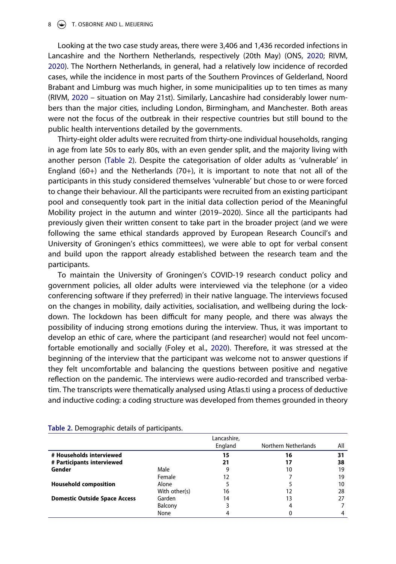#### $8 \quad (*)$  T. OSBORNE AND L. MEIJERING

<span id="page-7-2"></span>Looking at the two case study areas, there were 3,406 and 1,436 recorded infections in Lancashire and the Northern Netherlands, respectively (20th May) (ONS, [2020](#page-18-15); RIVM, [2020\)](#page-18-16). The Northern Netherlands, in general, had a relatively low incidence of recorded cases, while the incidence in most parts of the Southern Provinces of Gelderland, Noord Brabant and Limburg was much higher, in some municipalities up to ten times as many (RIVM, [2020](#page-18-16) – situation on May 21st). Similarly, Lancashire had considerably lower numbers than the major cities, including London, Birmingham, and Manchester. Both areas were not the focus of the outbreak in their respective countries but still bound to the public health interventions detailed by the governments.

<span id="page-7-3"></span>Thirty-eight older adults were recruited from thirty-one individual households, ranging in age from late 50s to early 80s, with an even gender split, and the majority living with another person ([Table 2](#page-7-0)). Despite the categorisation of older adults as 'vulnerable' in England  $(60+)$  and the Netherlands  $(70+)$ , it is important to note that not all of the participants in this study considered themselves 'vulnerable' but chose to or were forced to change their behaviour. All the participants were recruited from an existing participant pool and consequently took part in the initial data collection period of the Meaningful Mobility project in the autumn and winter (2019–2020). Since all the participants had previously given their written consent to take part in the broader project (and we were following the same ethical standards approved by European Research Council's and University of Groningen's ethics committees), we were able to opt for verbal consent and build upon the rapport already established between the research team and the participants.

<span id="page-7-1"></span>To maintain the University of Groningen's COVID-19 research conduct policy and government policies, all older adults were interviewed via the telephone (or a video conferencing software if they preferred) in their native language. The interviews focused on the changes in mobility, daily activities, socialisation, and wellbeing during the lockdown. The lockdown has been difficult for many people, and there was always the possibility of inducing strong emotions during the interview. Thus, it was important to develop an ethic of care, where the participant (and researcher) would not feel uncomfortable emotionally and socially (Foley et al., [2020](#page-17-17)). Therefore, it was stressed at the beginning of the interview that the participant was welcome not to answer questions if they felt uncomfortable and balancing the questions between positive and negative reflection on the pandemic. The interviews were audio-recorded and transcribed verbatim. The transcripts were thematically analysed using Atlas.ti using a process of deductive and inductive coding: a coding structure was developed from themes grounded in theory

|                                      |               | Lancashire,<br>England | Northern Netherlands | All |
|--------------------------------------|---------------|------------------------|----------------------|-----|
| # Households interviewed             |               | 15                     | 16                   | 31  |
| # Participants interviewed           |               | 21                     | 17                   | 38  |
| Gender                               | Male          | 9                      | 10                   | 19  |
|                                      | Female        | 12                     |                      | 19  |
| <b>Household composition</b>         | Alone         |                        |                      | 10  |
|                                      | With other(s) | 16                     | 12                   | 28  |
| <b>Domestic Outside Space Access</b> | Garden        | 14                     | 13                   |     |
|                                      | Balcony       |                        | 4                    |     |
|                                      | None          |                        |                      |     |

#### <span id="page-7-0"></span>**Table 2.** Demographic details of participants.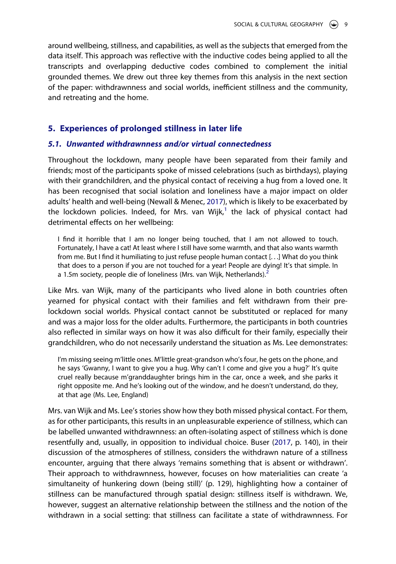around wellbeing, stillness, and capabilities, as well as the subjects that emerged from the data itself. This approach was reflective with the inductive codes being applied to all the transcripts and overlapping deductive codes combined to complement the initial grounded themes. We drew out three key themes from this analysis in the next section of the paper: withdrawnness and social worlds, inefficient stillness and the community, and retreating and the home.

# **5. Experiences of prolonged stillness in later life**

# *5.1. Unwanted withdrawnness and/or virtual connectedness*

<span id="page-8-0"></span>Throughout the lockdown, many people have been separated from their family and friends; most of the participants spoke of missed celebrations (such as birthdays), playing with their grandchildren, and the physical contact of receiving a hug from a loved one. It has been recognised that social isolation and loneliness have a major impact on older adults' health and well-being (Newall & Menec, [2017](#page-17-18)), which is likely to be exacerbated by the lockdown policies. Indeed, for Mrs. van Wijk, $<sup>1</sup>$  $<sup>1</sup>$  $<sup>1</sup>$  the lack of physical contact had</sup> detrimental effects on her wellbeing:

I find it horrible that I am no longer being touched, that I am not allowed to touch. Fortunately, I have a cat! At least where I still have some warmth, and that also wants warmth from me. But I find it humiliating to just refuse people human contact [...] What do you think that does to a person if you are not touched for a year! People are dying! It's that simple. In a 1.5m society, people die of loneliness (Mrs. van Wijk, Netherlands). $<sup>2</sup>$  $<sup>2</sup>$  $<sup>2</sup>$ </sup>

Like Mrs. van Wijk, many of the participants who lived alone in both countries often yearned for physical contact with their families and felt withdrawn from their prelockdown social worlds. Physical contact cannot be substituted or replaced for many and was a major loss for the older adults. Furthermore, the participants in both countries also reflected in similar ways on how it was also difficult for their family, especially their grandchildren, who do not necessarily understand the situation as Ms. Lee demonstrates:

I'm missing seeing m'little ones. M'little great-grandson who's four, he gets on the phone, and he says 'Gwanny, I want to give you a hug. Why can't I come and give you a hug?' It's quite cruel really because m'granddaughter brings him in the car, once a week, and she parks it right opposite me. And he's looking out of the window, and he doesn't understand, do they, at that age (Ms. Lee, England)

Mrs. van Wijk and Ms. Lee's stories show how they both missed physical contact. For them, as for other participants, this results in an unpleasurable experience of stillness, which can be labelled unwanted withdrawnness: an often-isolating aspect of stillness which is done resentfully and, usually, in opposition to individual choice. Buser ([2017](#page-17-6), p. 140), in their discussion of the atmospheres of stillness, considers the withdrawn nature of a stillness encounter, arguing that there always 'remains something that is absent or withdrawn'. Their approach to withdrawnness, however, focuses on how materialities can create 'a simultaneity of hunkering down (being still)' (p. 129), highlighting how a container of stillness can be manufactured through spatial design: stillness itself is withdrawn. We, however, suggest an alternative relationship between the stillness and the notion of the withdrawn in a social setting: that stillness can facilitate a state of withdrawnness. For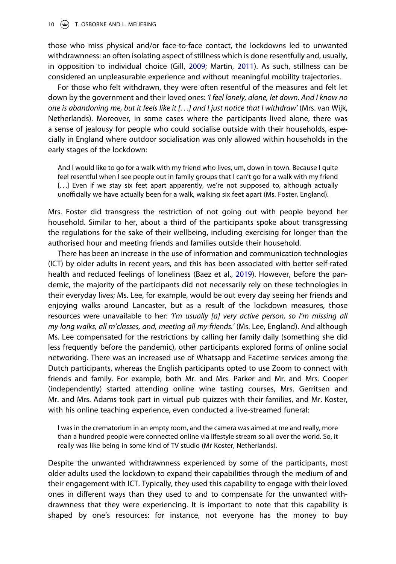10 (C) T. OSBORNE AND L. MEIJERING

those who miss physical and/or face-to-face contact, the lockdowns led to unwanted withdrawnness: an often isolating aspect of stillness which is done resentfully and, usually, in opposition to individual choice (Gill, [2009;](#page-17-11) Martin, [2011\)](#page-17-8). As such, stillness can be considered an unpleasurable experience and without meaningful mobility trajectories.

For those who felt withdrawn, they were often resentful of the measures and felt let down by the government and their loved ones: *'I feel lonely, alone, let down. And I know no one is abandoning me, but it feels like it [. . .] and I just notice that I withdraw'* (Mrs. van Wijk, Netherlands). Moreover, in some cases where the participants lived alone, there was a sense of jealousy for people who could socialise outside with their households, especially in England where outdoor socialisation was only allowed within households in the early stages of the lockdown:

And I would like to go for a walk with my friend who lives, um, down in town. Because I quite feel resentful when I see people out in family groups that I can't go for a walk with my friend [...] Even if we stay six feet apart apparently, we're not supposed to, although actually unofficially we have actually been for a walk, walking six feet apart (Ms. Foster, England).

Mrs. Foster did transgress the restriction of not going out with people beyond her household. Similar to her, about a third of the participants spoke about transgressing the regulations for the sake of their wellbeing, including exercising for longer than the authorised hour and meeting friends and families outside their household.

<span id="page-9-0"></span>There has been an increase in the use of information and communication technologies (ICT) by older adults in recent years, and this has been associated with better self-rated health and reduced feelings of loneliness (Baez et al., [2019](#page-16-10)). However, before the pandemic, the majority of the participants did not necessarily rely on these technologies in their everyday lives; Ms. Lee, for example, would be out every day seeing her friends and enjoying walks around Lancaster, but as a result of the lockdown measures, those resources were unavailable to her: *'I'm usually [a] very active person, so I'm missing all my long walks, all m'classes, and, meeting all my friends.'* (Ms. Lee, England). And although Ms. Lee compensated for the restrictions by calling her family daily (something she did less frequently before the pandemic), other participants explored forms of online social networking. There was an increased use of Whatsapp and Facetime services among the Dutch participants, whereas the English participants opted to use Zoom to connect with friends and family. For example, both Mr. and Mrs. Parker and Mr. and Mrs. Cooper (independently) started attending online wine tasting courses, Mrs. Gerritsen and Mr. and Mrs. Adams took part in virtual pub quizzes with their families, and Mr. Koster, with his online teaching experience, even conducted a live-streamed funeral:

I was in the crematorium in an empty room, and the camera was aimed at me and really, more than a hundred people were connected online via lifestyle stream so all over the world. So, it really was like being in some kind of TV studio (Mr Koster, Netherlands).

Despite the unwanted withdrawnness experienced by some of the participants, most older adults used the lockdown to expand their capabilities through the medium of and their engagement with ICT. Typically, they used this capability to engage with their loved ones in different ways than they used to and to compensate for the unwanted withdrawnness that they were experiencing. It is important to note that this capability is shaped by one's resources: for instance, not everyone has the money to buy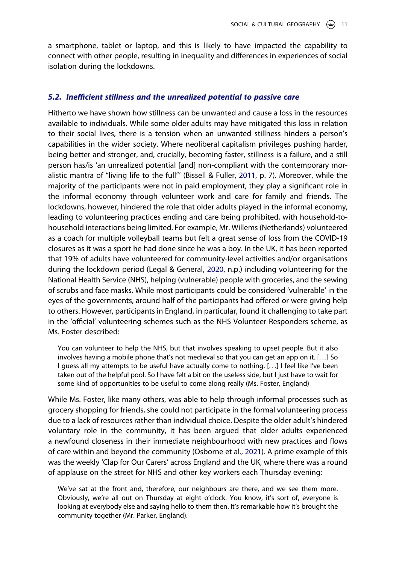a smartphone, tablet or laptop, and this is likely to have impacted the capability to connect with other people, resulting in inequality and differences in experiences of social isolation during the lockdowns.

# *5.2. Ine***!***cient stillness and the unrealized potential to passive care*

Hitherto we have shown how stillness can be unwanted and cause a loss in the resources available to individuals. While some older adults may have mitigated this loss in relation to their social lives, there is a tension when an unwanted stillness hinders a person's capabilities in the wider society. Where neoliberal capitalism privileges pushing harder, being better and stronger, and, crucially, becoming faster, stillness is a failure, and a still person has/is 'an unrealized potential [and] non-compliant with the contemporary moralistic mantra of "living life to the full"' (Bissell & Fuller, [2011](#page-16-5), p. 7). Moreover, while the majority of the participants were not in paid employment, they play a significant role in the informal economy through volunteer work and care for family and friends. The lockdowns, however, hindered the role that older adults played in the informal economy, leading to volunteering practices ending and care being prohibited, with household-tohousehold interactions being limited. For example, Mr. Willems (Netherlands) volunteered as a coach for multiple volleyball teams but felt a great sense of loss from the COVID-19 closures as it was a sport he had done since he was a boy. In the UK, it has been reported that 19% of adults have volunteered for community-level activities and/or organisations during the lockdown period (Legal & General, [2020,](#page-17-19) n.p.) including volunteering for the National Health Service (NHS), helping (vulnerable) people with groceries, and the sewing of scrubs and face masks. While most participants could be considered 'vulnerable' in the eyes of the governments, around half of the participants had offered or were giving help to others. However, participants in England, in particular, found it challenging to take part in the 'official' volunteering schemes such as the NHS Volunteer Responders scheme, as Ms. Foster described:

<span id="page-10-0"></span>You can volunteer to help the NHS, but that involves speaking to upset people. But it also involves having a mobile phone that's not medieval so that you can get an app on it. [. . .] So I guess all my attempts to be useful have actually come to nothing. [. . .] I feel like I've been taken out of the helpful pool. So I have felt a bit on the useless side, but I just have to wait for some kind of opportunities to be useful to come along really (Ms. Foster, England)

While Ms. Foster, like many others, was able to help through informal processes such as grocery shopping for friends, she could not participate in the formal volunteering process due to a lack of resources rather than individual choice. Despite the older adult's hindered voluntary role in the community, it has been argued that older adults experienced a newfound closeness in their immediate neighbourhood with new practices and flows of care within and beyond the community (Osborne et al., [2021\)](#page-18-17). A prime example of this was the weekly 'Clap for Our Carers' across England and the UK, where there was a round of applause on the street for NHS and other key workers each Thursday evening:

<span id="page-10-1"></span>We've sat at the front and, therefore, our neighbours are there, and we see them more. Obviously, we're all out on Thursday at eight o'clock. You know, it's sort of, everyone is looking at everybody else and saying hello to them then. It's remarkable how it's brought the community together (Mr. Parker, England).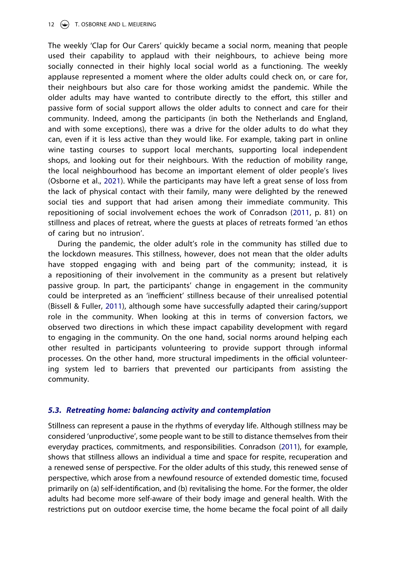### 12  $\left(\frac{1}{2}\right)$  T. OSBORNE AND L. MEIJERING

The weekly 'Clap for Our Carers' quickly became a social norm, meaning that people used their capability to applaud with their neighbours, to achieve being more socially connected in their highly local social world as a functioning. The weekly applause represented a moment where the older adults could check on, or care for, their neighbours but also care for those working amidst the pandemic. While the older adults may have wanted to contribute directly to the effort, this stiller and passive form of social support allows the older adults to connect and care for their community. Indeed, among the participants (in both the Netherlands and England, and with some exceptions), there was a drive for the older adults to do what they can, even if it is less active than they would like. For example, taking part in online wine tasting courses to support local merchants, supporting local independent shops, and looking out for their neighbours. With the reduction of mobility range, the local neighbourhood has become an important element of older people's lives (Osborne et al., [2021](#page-18-17)). While the participants may have left a great sense of loss from the lack of physical contact with their family, many were delighted by the renewed social ties and support that had arisen among their immediate community. This repositioning of social involvement echoes the work of Conradson ([2011,](#page-17-10) p. 81) on stillness and places of retreat, where the guests at places of retreats formed 'an ethos of caring but no intrusion'.

During the pandemic, the older adult's role in the community has stilled due to the lockdown measures. This stillness, however, does not mean that the older adults have stopped engaging with and being part of the community; instead, it is a repositioning of their involvement in the community as a present but relatively passive group. In part, the participants' change in engagement in the community could be interpreted as an 'inefficient' stillness because of their unrealised potential (Bissell & Fuller, [2011](#page-16-5)), although some have successfully adapted their caring/support role in the community. When looking at this in terms of conversion factors, we observed two directions in which these impact capability development with regard to engaging in the community. On the one hand, social norms around helping each other resulted in participants volunteering to provide support through informal processes. On the other hand, more structural impediments in the official volunteering system led to barriers that prevented our participants from assisting the community.

# *5.3. Retreating home: balancing activity and contemplation*

Stillness can represent a pause in the rhythms of everyday life. Although stillness may be considered 'unproductive', some people want to be still to distance themselves from their everyday practices, commitments, and responsibilities. Conradson [\(2011\)](#page-17-10), for example, shows that stillness allows an individual a time and space for respite, recuperation and a renewed sense of perspective. For the older adults of this study, this renewed sense of perspective, which arose from a newfound resource of extended domestic time, focused primarily on (a) self-identification, and (b) revitalising the home. For the former, the older adults had become more self-aware of their body image and general health. With the restrictions put on outdoor exercise time, the home became the focal point of all daily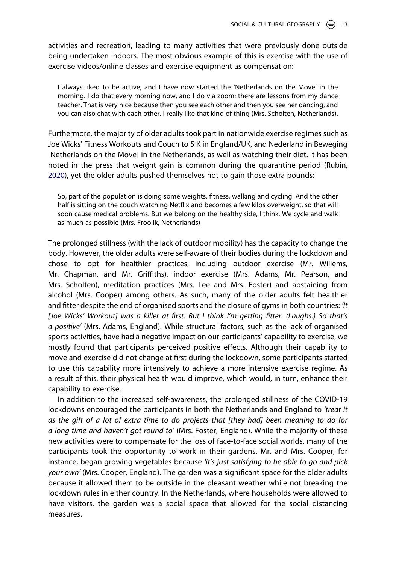activities and recreation, leading to many activities that were previously done outside being undertaken indoors. The most obvious example of this is exercise with the use of exercise videos/online classes and exercise equipment as compensation:

I always liked to be active, and I have now started the 'Netherlands on the Move' in the morning. I do that every morning now, and I do via zoom; there are lessons from my dance teacher. That is very nice because then you see each other and then you see her dancing, and you can also chat with each other. I really like that kind of thing (Mrs. Scholten, Netherlands).

<span id="page-12-0"></span>Furthermore, the majority of older adults took part in nationwide exercise regimes such as Joe Wicks' Fitness Workouts and Couch to 5 K in England/UK, and Nederland in Beweging [Netherlands on the Move] in the Netherlands, as well as watching their diet. It has been noted in the press that weight gain is common during the quarantine period (Rubin, [2020\)](#page-18-18), yet the older adults pushed themselves not to gain those extra pounds:

So, part of the population is doing some weights, fitness, walking and cycling. And the other half is sitting on the couch watching Netflix and becomes a few kilos overweight, so that will soon cause medical problems. But we belong on the healthy side, I think. We cycle and walk as much as possible (Mrs. Froolik, Netherlands)

The prolonged stillness (with the lack of outdoor mobility) has the capacity to change the body. However, the older adults were self-aware of their bodies during the lockdown and chose to opt for healthier practices, including outdoor exercise (Mr. Willems, Mr. Chapman, and Mr. Griffiths), indoor exercise (Mrs. Adams, Mr. Pearson, and Mrs. Scholten), meditation practices (Mrs. Lee and Mrs. Foster) and abstaining from alcohol (Mrs. Cooper) among others. As such, many of the older adults felt healthier and fitter despite the end of organised sports and the closure of gyms in both countries: *'It [Joe Wicks' Workout] was a killer at* !*rst. But I think I'm getting* !*tter. (Laughs.) So that's a positive'* (Mrs. Adams, England). While structural factors, such as the lack of organised sports activities, have had a negative impact on our participants' capability to exercise, we mostly found that participants perceived positive effects. Although their capability to move and exercise did not change at first during the lockdown, some participants started to use this capability more intensively to achieve a more intensive exercise regime. As a result of this, their physical health would improve, which would, in turn, enhance their capability to exercise.

In addition to the increased self-awareness, the prolonged stillness of the COVID-19 lockdowns encouraged the participants in both the Netherlands and England to *'treat it as the gift of a lot of extra time to do projects that [they had] been meaning to do for a long time and haven't got round to'* (Mrs. Foster, England). While the majority of these new activities were to compensate for the loss of face-to-face social worlds, many of the participants took the opportunity to work in their gardens. Mr. and Mrs. Cooper, for instance, began growing vegetables because *'it's just satisfying to be able to go and pick your own'* (Mrs. Cooper, England). The garden was a significant space for the older adults because it allowed them to be outside in the pleasant weather while not breaking the lockdown rules in either country. In the Netherlands, where households were allowed to have visitors, the garden was a social space that allowed for the social distancing measures.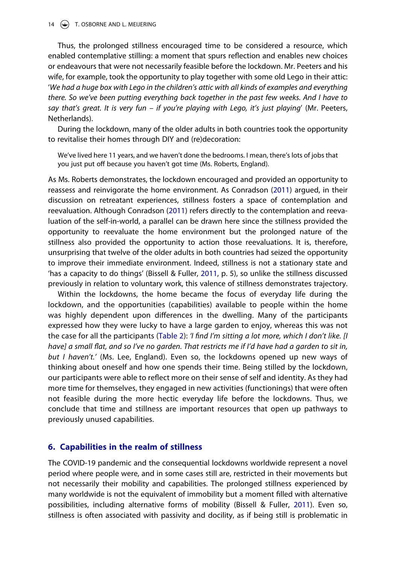14  $\left(\frac{1}{2}\right)$  T. OSBORNE AND L. MEIJERING

Thus, the prolonged stillness encouraged time to be considered a resource, which enabled contemplative stilling: a moment that spurs reflection and enables new choices or endeavours that were not necessarily feasible before the lockdown. Mr. Peeters and his wife, for example, took the opportunity to play together with some old Lego in their attic: '*We had a huge box with Lego in the children's attic with all kinds of examples and everything there. So we've been putting everything back together in the past few weeks. And I have to say that's great. It is very fun – if you're playing with Lego, it's just playing*' (Mr. Peeters, Netherlands).

During the lockdown, many of the older adults in both countries took the opportunity to revitalise their homes through DIY and (re)decoration:

We've lived here 11 years, and we haven't done the bedrooms. I mean, there's lots of jobs that you just put off because you haven't got time (Ms. Roberts, England).

As Ms. Roberts demonstrates, the lockdown encouraged and provided an opportunity to reassess and reinvigorate the home environment. As Conradson [\(2011](#page-17-10)) argued, in their discussion on retreatant experiences, stillness fosters a space of contemplation and reevaluation. Although Conradson [\(2011\)](#page-17-10) refers directly to the contemplation and reevaluation of the self-in-world, a parallel can be drawn here since the stillness provided the opportunity to reevaluate the home environment but the prolonged nature of the stillness also provided the opportunity to action those reevaluations. It is, therefore, unsurprising that twelve of the older adults in both countries had seized the opportunity to improve their immediate environment. Indeed, stillness is not a stationary state and 'has a capacity to do things' (Bissell & Fuller, [2011,](#page-16-5) p. 5), so unlike the stillness discussed previously in relation to voluntary work, this valence of stillness demonstrates trajectory.

Within the lockdowns, the home became the focus of everyday life during the lockdown, and the opportunities (capabilities) available to people within the home was highly dependent upon differences in the dwelling. Many of the participants expressed how they were lucky to have a large garden to enjoy, whereas this was not the case for all the participants ([Table 2\)](#page-7-0): *'I* !*nd I'm sitting a lot more, which I don't like. [I have] a small* "*at, and so I've no garden. That restricts me if I'd have had a garden to sit in, but I haven't.'* (Ms. Lee, England). Even so, the lockdowns opened up new ways of thinking about oneself and how one spends their time. Being stilled by the lockdown, our participants were able to reflect more on their sense of self and identity. As they had more time for themselves, they engaged in new activities (functionings) that were often not feasible during the more hectic everyday life before the lockdowns. Thus, we conclude that time and stillness are important resources that open up pathways to previously unused capabilities.

### **6. Capabilities in the realm of stillness**

The COVID-19 pandemic and the consequential lockdowns worldwide represent a novel period where people were, and in some cases still are, restricted in their movements but not necessarily their mobility and capabilities. The prolonged stillness experienced by many worldwide is not the equivalent of immobility but a moment filled with alternative possibilities, including alternative forms of mobility (Bissell & Fuller, [2011\)](#page-16-5). Even so, stillness is often associated with passivity and docility, as if being still is problematic in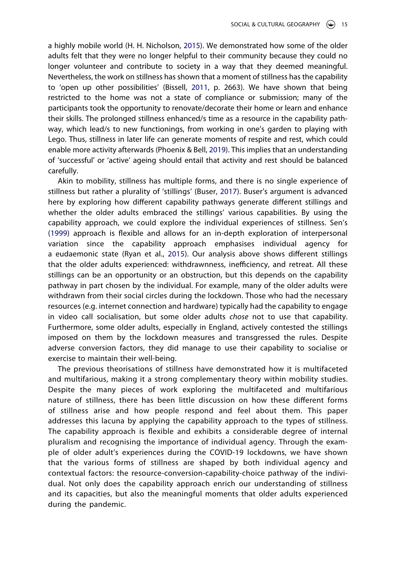<span id="page-14-0"></span>a highly mobile world (H. H. Nicholson, [2015](#page-18-19)). We demonstrated how some of the older adults felt that they were no longer helpful to their community because they could no longer volunteer and contribute to society in a way that they deemed meaningful. Nevertheless, the work on stillness has shown that a moment of stillness has the capability to 'open up other possibilities' (Bissell, [2011](#page-16-3), p. 2663). We have shown that being restricted to the home was not a state of compliance or submission; many of the participants took the opportunity to renovate/decorate their home or learn and enhance their skills. The prolonged stillness enhanced/s time as a resource in the capability pathway, which lead/s to new functionings, from working in one's garden to playing with Lego. Thus, stillness in later life can generate moments of respite and rest, which could enable more activity afterwards (Phoenix & Bell, [2019](#page-18-7)). This implies that an understanding of 'successful' or 'active' ageing should entail that activity and rest should be balanced carefully.

Akin to mobility, stillness has multiple forms, and there is no single experience of stillness but rather a plurality of 'stillings' (Buser, [2017](#page-17-6)). Buser's argument is advanced here by exploring how different capability pathways generate different stillings and whether the older adults embraced the stillings' various capabilities. By using the capability approach, we could explore the individual experiences of stillness. Sen's  $(1999)$  $(1999)$  approach is flexible and allows for an in-depth exploration of interpersonal variation since the capability approach emphasises individual agency for a eudaemonic state (Ryan et al., [2015](#page-18-9)). Our analysis above shows different stillings that the older adults experienced: withdrawnness, inefficiency, and retreat. All these stillings can be an opportunity or an obstruction, but this depends on the capability pathway in part chosen by the individual. For example, many of the older adults were withdrawn from their social circles during the lockdown. Those who had the necessary resources (e.g. internet connection and hardware) typically had the capability to engage in video call socialisation, but some older adults *chose* not to use that capability. Furthermore, some older adults, especially in England, actively contested the stillings imposed on them by the lockdown measures and transgressed the rules. Despite adverse conversion factors, they did manage to use their capability to socialise or exercise to maintain their well-being.

The previous theorisations of stillness have demonstrated how it is multifaceted and multifarious, making it a strong complementary theory within mobility studies. Despite the many pieces of work exploring the multifaceted and multifarious nature of stillness, there has been little discussion on how these different forms of stillness arise and how people respond and feel about them. This paper addresses this lacuna by applying the capability approach to the types of stillness. The capability approach is flexible and exhibits a considerable degree of internal pluralism and recognising the importance of individual agency. Through the example of older adult's experiences during the COVID-19 lockdowns, we have shown that the various forms of stillness are shaped by both individual agency and contextual factors: the resource-conversion-capability-choice pathway of the individual. Not only does the capability approach enrich our understanding of stillness and its capacities, but also the meaningful moments that older adults experienced during the pandemic.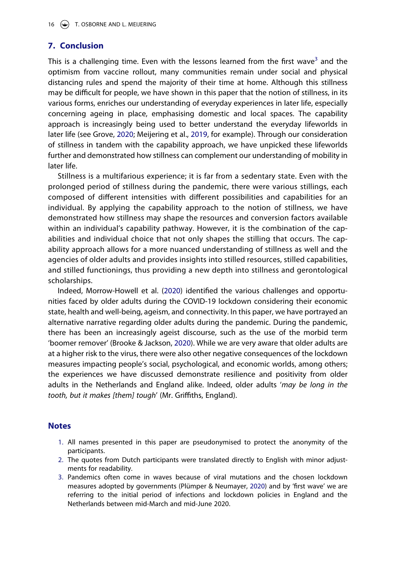# **7. Conclusion**

This is a challenging time. Even with the lessons learned from the first wave<sup>3</sup> and the optimism from vaccine rollout, many communities remain under social and physical distancing rules and spend the majority of their time at home. Although this stillness may be difficult for people, we have shown in this paper that the notion of stillness, in its various forms, enriches our understanding of everyday experiences in later life, especially concerning ageing in place, emphasising domestic and local spaces. The capability approach is increasingly being used to better understand the everyday lifeworlds in later life (see Grove, [2020](#page-17-4); Meijering et al., [2019](#page-17-20), for example). Through our consideration of stillness in tandem with the capability approach, we have unpicked these lifeworlds further and demonstrated how stillness can complement our understanding of mobility in later life.

<span id="page-15-4"></span>Stillness is a multifarious experience; it is far from a sedentary state. Even with the prolonged period of stillness during the pandemic, there were various stillings, each composed of different intensities with different possibilities and capabilities for an individual. By applying the capability approach to the notion of stillness, we have demonstrated how stillness may shape the resources and conversion factors available within an individual's capability pathway. However, it is the combination of the capabilities and individual choice that not only shapes the stilling that occurs. The capability approach allows for a more nuanced understanding of stillness as well and the agencies of older adults and provides insights into stilled resources, stilled capabilities, and stilled functionings, thus providing a new depth into stillness and gerontological scholarships.

<span id="page-15-3"></span>Indeed, Morrow-Howell et al. [\(2020\)](#page-17-2) identified the various challenges and opportunities faced by older adults during the COVID-19 lockdown considering their economic state, health and well-being, ageism, and connectivity. In this paper, we have portrayed an alternative narrative regarding older adults during the pandemic. During the pandemic, there has been an increasingly ageist discourse, such as the use of the morbid term 'boomer remover' (Brooke & Jackson, [2020\)](#page-16-11). While we are very aware that older adults are at a higher risk to the virus, there were also other negative consequences of the lockdown measures impacting people's social, psychological, and economic worlds, among others; the experiences we have discussed demonstrate resilience and positivity from older adults in the Netherlands and England alike. Indeed, older adults '*may be long in the tooth, but it makes [them] tough' (Mr. Griffiths, England).* 

# **Notes**

- <span id="page-15-0"></span>1. All names presented in this paper are pseudonymised to protect the anonymity of the participants.
- <span id="page-15-1"></span>2. The quotes from Dutch participants were translated directly to English with minor adjustments for readability.
- <span id="page-15-5"></span><span id="page-15-2"></span>3. Pandemics often come in waves because of viral mutations and the chosen lockdown measures adopted by governments (Plümper & Neumayer, [2020\)](#page-18-20) and by 'first wave' we are referring to the initial period of infections and lockdown policies in England and the Netherlands between mid-March and mid-June 2020.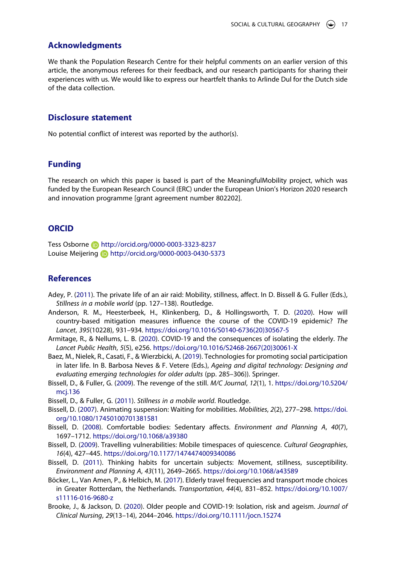### **Acknowledgments**

We thank the Population Research Centre for their helpful comments on an earlier version of this article, the anonymous referees for their feedback, and our research participants for sharing their experiences with us. We would like to express our heartfelt thanks to Arlinde Dul for the Dutch side of the data collection.

## **Disclosure statement**

No potential conflict of interest was reported by the author(s).

### **Funding**

The research on which this paper is based is part of the MeaningfulMobility project, which was funded by the European Research Council (ERC) under the European Union's Horizon 2020 research and innovation programme [grant agreement number 802202].

### **ORCID**

Tess Osborne **b** http://orcid.org/0000-0003-3323-8237 Louise Meijering **b** http://orcid.org/0000-0003-0430-5373

# **References**

- <span id="page-16-6"></span>Adey, P. [\(2011\)](#page-3-0). The private life of an air raid: Mobility, stillness, affect. In D. Bissell & G. Fuller (Eds.), *Stillness in a mobile world* (pp. 127–138). Routledge.
- <span id="page-16-0"></span>Anderson, R. M., Heesterbeek, H., Klinkenberg, D., & Hollingsworth, T. D. ([2020](#page-2-0)). How will country-based mitigation measures influence the course of the COVID-19 epidemic? The *Lancet*, *395*(10228), 931–934. [https://doi.org/10.1016/S0140-6736\(20\)30567-5](https://doi.org/10.1016/S0140-6736(20)30567-5)
- <span id="page-16-1"></span>Armitage, R., & Nellums, L. B. [\(2020\)](#page-2-1). COVID-19 and the consequences of isolating the elderly. *The Lancet Public Health*, *5*(5), e256. [https://doi.org/10.1016/S2468-2667\(20\)30061-X](https://doi.org/10.1016/S2468-2667(20)30061-X)
- <span id="page-16-10"></span>Baez, M., Nielek, R., Casati, F., & Wierzbicki, A. [\(2019\)](#page-9-0). Technologies for promoting social participation in later life. In B. Barbosa Neves & F. Vetere (Eds.), *Ageing and digital technology: Designing and evaluating emerging technologies for older adults* (pp. 285–306)). Springer.
- <span id="page-16-4"></span>Bissell, D., & Fuller, G. [\(2009\)](#page-3-1). The revenge of the still. *M/C Journal*, *12*(1), 1. [https://doi.org/10.5204/](https://doi.org/10.5204/mcj.136) [mcj.136](https://doi.org/10.5204/mcj.136)
- <span id="page-16-5"></span>Bissell, D., & Fuller, G. ([2011](#page-3-2)). *Stillness in a mobile world*. Routledge.
- <span id="page-16-9"></span>Bissell, D. ([2007](#page-4-0)). Animating suspension: Waiting for mobilities. *Mobilities*, *2*(2), 277–298. [https://doi.](https://doi.org/10.1080/17450100701381581) [org/10.1080/17450100701381581](https://doi.org/10.1080/17450100701381581)
- <span id="page-16-7"></span>Bissell, D. [\(2008\)](#page-3-3). Comfortable bodies: Sedentary affects. *Environment and Planning A, 40(7)*, 1697–1712. <https://doi.org/10.1068/a39380>
- <span id="page-16-2"></span>Bissell, D. ([2009\)](#page-3-4). Travelling vulnerabilities: Mobile timespaces of quiescence. *Cultural Geographies*, *16*(4), 427–445. <https://doi.org/10.1177/1474474009340086>
- <span id="page-16-3"></span>Bissell, D. [\(2011](#page-3-5)). Thinking habits for uncertain subjects: Movement, stillness, susceptibility. *Environment and Planning A*, *43*(11), 2649–2665. <https://doi.org/10.1068/a43589>
- <span id="page-16-8"></span>Böcker, L., Van Amen, P., & Helbich, M. [\(2017\)](#page-3-6). Elderly travel frequencies and transport mode choices in Greater Rotterdam, the Netherlands. *Transportation*, *44*(4), 831–852. [https://doi.org/10.1007/](https://doi.org/10.1007/s11116-016-9680-z) [s11116-016-9680-z](https://doi.org/10.1007/s11116-016-9680-z)
- <span id="page-16-11"></span>Brooke, J., & Jackson, D. ([2020](#page-15-3)). Older people and COVID-19: Isolation, risk and ageism. *Journal of Clinical Nursing*, *29*(13–14), 2044–2046. <https://doi.org/10.1111/jocn.15274>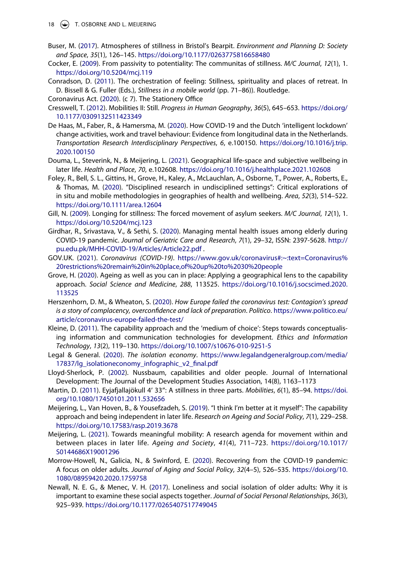- 18 (C) T. OSBORNE AND L. MEIJERING
- <span id="page-17-6"></span>Buser, M. [\(2017\)](#page-3-7). Atmospheres of stillness in Bristol's Bearpit. *Environment and Planning D: Society and Space*, *35*(1), 126–145. <https://doi.org/10.1177/0263775816658480>
- <span id="page-17-9"></span>Cocker, E. ([2009](#page-3-8)). From passivity to potentiality: The communitas of stillness. *M/C Journal*, *12*(1), 1. <https://doi.org/10.5204/mcj.119>
- <span id="page-17-10"></span>Conradson, D. [\(2011\)](#page-4-1). The orchestration of feeling: Stillness, spirituality and places of retreat. In D. Bissell & G. Fuller (Eds.), *Stillness in a mobile world* (pp. 71–86)). Routledge.
- <span id="page-17-15"></span>Coronavirus Act. [\(2020\)](#page-6-1). (c 7). The Stationery Office
- <span id="page-17-5"></span>Cresswell, T. [\(2012\)](#page-3-9). Mobilities II: Still. *Progress in Human Geography*, *36*(5), 645–653. [https://doi.org/](https://doi.org/10.1177/0309132511423349) [10.1177/0309132511423349](https://doi.org/10.1177/0309132511423349)
- <span id="page-17-14"></span>De Haas, M., Faber, R., & Hamersma, M. [\(2020\)](#page-6-2). How COVID-19 and the Dutch 'intelligent lockdown' change activities, work and travel behaviour: Evidence from longitudinal data in the Netherlands. *Transportation Research Interdisciplinary Perspectives*, *6*, e.100150. [https://doi.org/10.1016/j.trip.](https://doi.org/10.1016/j.trip.2020.100150) [2020.100150](https://doi.org/10.1016/j.trip.2020.100150)
- <span id="page-17-3"></span>Douma, L., Steverink, N., & Meijering, L. ([2021](#page-2-2)). Geographical life-space and subjective wellbeing in later life. *Health and Place*, *70*, e.102608. <https://doi.org/10.1016/j.healthplace.2021.102608>
- <span id="page-17-17"></span>Foley, R., Bell, S. L., Gittins, H., Grove, H., Kaley, A., McLauchlan, A., Osborne, T., Power, A., Roberts, E., & Thomas, M. [\(2020\)](#page-7-1). "Disciplined research in undisciplined settings": Critical explorations of in situ and mobile methodologies in geographies of health and wellbeing. *Area*, *52*(3), 514–522. <https://doi.org/10.1111/area.12604>
- <span id="page-17-11"></span>Gill, N. ([2009\)](#page-4-2). Longing for stillness: The forced movement of asylum seekers. *M/C Journal*, *12*(1), 1. <https://doi.org/10.5204/mcj.123>
- <span id="page-17-1"></span>Girdhar, R., Srivastava, V., & Sethi, S. [\(2020\)](#page-2-3). Managing mental health issues among elderly during COVID-19 pandemic. *Journal of Geriatric Care and Research*, *7*(1), 29–32, ISSN: 2397-5628. [http://](http://pu.edu.pk/MHH-COVID-19/Articles/Article22.pdf) [pu.edu.pk/MHH-COVID-19/Articles/Article22.pdf](http://pu.edu.pk/MHH-COVID-19/Articles/Article22.pdf) .
- <span id="page-17-16"></span>GOV.UK. ([2021](#page-6-3)). *Coronavirus (COVID-19)*. [https://www.gov.uk/coronavirus#:~:text=Coronavirus%](https://www.gov.uk/coronavirus#:~:text=Coronavirus%20restrictions%20remain%20in%20place,of%20up%20to%2030%20people) [20restrictions%20remain%20in%20place,of%20up%20to%2030%20people](https://www.gov.uk/coronavirus#:~:text=Coronavirus%20restrictions%20remain%20in%20place,of%20up%20to%2030%20people)
- <span id="page-17-4"></span>Grove, H. [\(2020\)](#page-2-2). Ageing as well as you can in place: Applying a geographical lens to the capability approach. *Social Science and Medicine*, *288*, 113525. [https://doi.org/10.1016/j.socscimed.2020.](https://doi.org/10.1016/j.socscimed.2020.113525) [113525](https://doi.org/10.1016/j.socscimed.2020.113525)
- <span id="page-17-0"></span>Herszenhorn, D. M., & Wheaton, S. ([2020](#page-2-4)). *How Europe failed the coronavirus test: Contagion's spread is a story of complacency, overcon*!*dence and lack of preparation*. *Politico*. [https://www.politico.eu/](https://www.politico.eu/article/coronavirus-europe-failed-the-test/) [article/coronavirus-europe-failed-the-test/](https://www.politico.eu/article/coronavirus-europe-failed-the-test/)
- <span id="page-17-12"></span>Kleine, D. [\(2011\)](#page-5-1). The capability approach and the 'medium of choice': Steps towards conceptualising information and communication technologies for development. *Ethics and Information Technology*, *13*(2), 119–130. <https://doi.org/10.1007/s10676-010-9251-5>
- <span id="page-17-19"></span>Legal & General. ([2020](#page-10-0)). *The isolation economy*. [https://www.legalandgeneralgroup.com/media/](https://www.legalandgeneralgroup.com/media/17837/lg_isolationeconomy_infographic_v2_final.pdf) [17837/lg\\_isolationeconomy\\_infographic\\_v2\\_](https://www.legalandgeneralgroup.com/media/17837/lg_isolationeconomy_infographic_v2_final.pdf)final.pdf
- <span id="page-17-13"></span>Lloyd-Sherlock, P. [\(2002\)](#page-5-2). Nussbaum, capabilities and older people. Journal of International Development: The Journal of the Development Studies Association, 14(8), 1163–1173
- <span id="page-17-8"></span>Martin, D. [\(2011\)](#page-3-10). Eyjafjallajökull 4′ 33″: A stillness in three parts. *Mobilities*, *6*(1), 85–94. [https://doi.](https://doi.org/10.1080/17450101.2011.532656) [org/10.1080/17450101.2011.532656](https://doi.org/10.1080/17450101.2011.532656)
- <span id="page-17-20"></span>Meijering, L., Van Hoven, B., & Yousefzadeh, S. ([2019](#page-15-4)). "I think I'm better at it myself": The capability approach and being independent in later life. *Research on Ageing and Social Policy*, *7*(1), 229–258. <https://doi.org/10.17583/rasp.2019.3678>
- <span id="page-17-7"></span>Meijering, L. ([2021](#page-3-11)). Towards meaningful mobility: A research agenda for movement within and between places in later life. *Ageing and Society*, *41*(4), 711–723. [https://doi.org/10.1017/](https://doi.org/10.1017/S0144686X19001296) [S0144686X19001296](https://doi.org/10.1017/S0144686X19001296)
- <span id="page-17-2"></span>Morrow-Howell, N., Galicia, N., & Swinford, E. ([2020](#page-2-5)). Recovering from the COVID-19 pandemic: A focus on older adults. *Journal of Aging and Social Policy*, *32*(4–5), 526–535. [https://doi.org/10.](https://doi.org/10.1080/08959420.2020.1759758) [1080/08959420.2020.1759758](https://doi.org/10.1080/08959420.2020.1759758)
- <span id="page-17-18"></span>Newall, N. E. G., & Menec, V. H. ([2017](#page-8-0)). Loneliness and social isolation of older adults: Why it is important to examine these social aspects together. *Journal of Social Personal Relationships*, *36*(3), 925–939. <https://doi.org/10.1177/0265407517749045>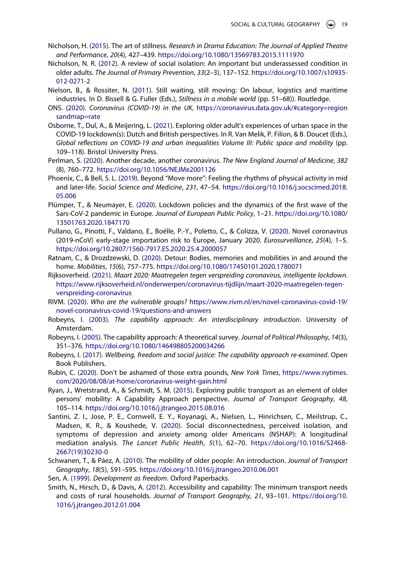- <span id="page-18-19"></span>Nicholson, H. [\(2015](#page-14-0)). The art of stillness. *Research in Drama Education: The Journal of Applied Theatre and Performance*, *20*(4), 427–439. <https://doi.org/10.1080/13569783.2015.1111970>
- <span id="page-18-2"></span>Nicholson, N. R. [\(2012\)](#page-2-3). A review of social isolation: An important but underassessed condition in older adults. *The Journal of Primary Prevention*, *33*(2–3), 137–152. [https://doi.org/10.1007/s10935-](https://doi.org/10.1007/s10935-012-0271-2) [012-0271-2](https://doi.org/10.1007/s10935-012-0271-2)
- <span id="page-18-8"></span>Nielson, B., & Rossiter, N. [\(2011\)](#page-4-1). Still waiting, still moving: On labour, logistics and maritime industries. In D. Bissell & G. Fuller (Eds.), *Stillness in a mobile world* (pp. 51–68)). Routledge.
- <span id="page-18-15"></span>ONS. ([2020](#page-7-2)). *Coronavirus (COVID-19) in the UK*, [https://coronavirus.data.gov.uk/#category=region](https://coronavirus.data.gov.uk/#category=regionsandmap=rate) [sandmap=rate](https://coronavirus.data.gov.uk/#category=regionsandmap=rate)
- <span id="page-18-17"></span>Osborne, T., Dul, A., & Meijering, L. ([2021](#page-10-1)). Exploring older adult's experiences of urban space in the COVID-19 lockdown(s): Dutch and British perspectives. In R. Van Melik, P. Filion, & B. Doucet (Eds.), Global reflections on COVID-19 and urban inequalities Volume III: Public space and mobility (pp. 109–118). Bristol University Press.
- <span id="page-18-0"></span>Perlman, S. ([2020](#page-2-6)). Another decade, another coronavirus. *The New England Journal of Medicine*, *382*  (8), 760–772. <https://doi.org/10.1056/NEJMe2001126>
- <span id="page-18-7"></span>Phoenix, C., & Bell, S. L. [\(2019\)](#page-4-3). Beyond "Move more": Feeling the rhythms of physical activity in mid and later-life. *Social Science and Medicine*, *231*, 47–54. [https://doi.org/10.1016/j.socscimed.2018.](https://doi.org/10.1016/j.socscimed.2018.05.006) [05.006](https://doi.org/10.1016/j.socscimed.2018.05.006)
- <span id="page-18-20"></span>Plümper, T., & Neumayer, E. [\(2020\)](#page-15-5). Lockdown policies and the dynamics of the first wave of the Sars-CoV-2 pandemic in Europe. *Journal of European Public Policy*, 1–21. [https://doi.org/10.1080/](https://doi.org/10.1080/13501763.2020.1847170) [13501763.2020.1847170](https://doi.org/10.1080/13501763.2020.1847170)
- <span id="page-18-1"></span>Pullano, G., Pinotti, F., Valdano, E., Boëlle, P.-Y., Poletto, C., & Colizza, V. [\(2020\)](#page-2-7). Novel coronavirus (2019-nCoV) early-stage importation risk to Europe, January 2020. *Eurosurveillance*, *25*(4), 1–5. <https://doi.org/10.2807/1560-7917.ES.2020.25.4.2000057>
- <span id="page-18-5"></span>Ratnam, C., & Drozdzewski, D. [\(2020\)](#page-3-12). Detour: Bodies, memories and mobilities in and around the home. *Mobilities*, *15*(6), 757–775. <https://doi.org/10.1080/17450101.2020.1780071>
- <span id="page-18-14"></span>Rijksoverheid. [\(2021\)](#page-6-3). *Maart 2020: Maatregelen tegen verspreiding coronavirus, intelligente lockdown*. [https://www.rijksoverheid.nl/onderwerpen/coronavirus-tijdlijn/maart-2020-maatregelen-tegen](https://www.rijksoverheid.nl/onderwerpen/coronavirus-tijdlijn/maart-2020-maatregelen-tegen-verspreiding-coronavirus)[verspreiding-coronavirus](https://www.rijksoverheid.nl/onderwerpen/coronavirus-tijdlijn/maart-2020-maatregelen-tegen-verspreiding-coronavirus)
- <span id="page-18-16"></span>RIVM. ([2020](#page-7-3)). *Who are the vulnerable groups?* [https://www.rivm.nl/en/novel-coronavirus-covid-19/](https://www.rivm.nl/en/novel-coronavirus-covid-19/novel-coronavirus-covid-19/questions-and-answers) [novel-coronavirus-covid-19/questions-and-answers](https://www.rivm.nl/en/novel-coronavirus-covid-19/novel-coronavirus-covid-19/questions-and-answers)
- <span id="page-18-12"></span>Robeyns, I. [\(2003\)](#page-5-3). *The capability approach: An interdisciplinary introduction*. University of Amsterdam.
- <span id="page-18-10"></span>Robeyns, I. [\(2005\)](#page-5-4). The capability approach: A theoretical survey. *Journal of Political Philosophy*, *14*(3), 351–376. <https://doi.org/10.1080/146498805200034266>
- <span id="page-18-11"></span>Robeyns, I. ([2017](#page-5-5)). *Wellbeing, freedom and social justice: The capability approach re-examined*. Open Book Publishers.
- <span id="page-18-18"></span>Rubin, C. [\(2020\)](#page-12-0). Don't be ashamed of those extra pounds, *New York Times*, [https://www.nytimes.](https://www.nytimes.com/2020/08/08/at-home/coronavirus-weight-gain.html) [com/2020/08/08/at-home/coronavirus-weight-gain.html](https://www.nytimes.com/2020/08/08/at-home/coronavirus-weight-gain.html)
- <span id="page-18-9"></span>Ryan, J., Wretstrand, A., & Schmidt, S. M. ([2015](#page-4-4)). Exploring public transport as an element of older persons' mobility: A Capability Approach perspective. *Journal of Transport Geography*, *48*, 105–114. <https://doi.org/10.1016/j.jtrangeo.2015.08.016>
- <span id="page-18-3"></span>Santini, Z. I., Jose, P. E., Cornwell, E. Y., Koyanagi, A., Nielsen, L., Hinrichsen, C., Meilstrup, C., Madsen, K. R., & Koushede, V. ([2020\)](#page-2-8). Social disconnectedness, perceived isolation, and symptoms of depression and anxiety among older Americans (NSHAP): A longitudinal mediation analysis. *The Lancet Public Health*, *5*(1), 62–70. [https://doi.org/10.1016/S2468-](https://doi.org/10.1016/S2468-2667(19)30230-0) [2667\(19\)30230-0](https://doi.org/10.1016/S2468-2667(19)30230-0)
- <span id="page-18-6"></span>Schwanen, T., & Páez, A. [\(2010\)](#page-3-6). The mobility of older people: An introduction. *Journal of Transport Geography*, *18*(5), 591–595. <https://doi.org/10.1016/j.jtrangeo.2010.06.001>
- <span id="page-18-4"></span>Sen, A. ([1999](#page-2-9)). *Development as freedom*. Oxford Paperbacks.
- <span id="page-18-13"></span>Smith, N., Hirsch, D., & Davis, A. ([2012](#page-5-6)). Accessibility and capability: The minimum transport needs and costs of rural households. *Journal of Transport Geography*, *21*, 93–101. [https://doi.org/10.](https://doi.org/10.1016/j.jtrangeo.2012.01.004) [1016/j.jtrangeo.2012.01.004](https://doi.org/10.1016/j.jtrangeo.2012.01.004)